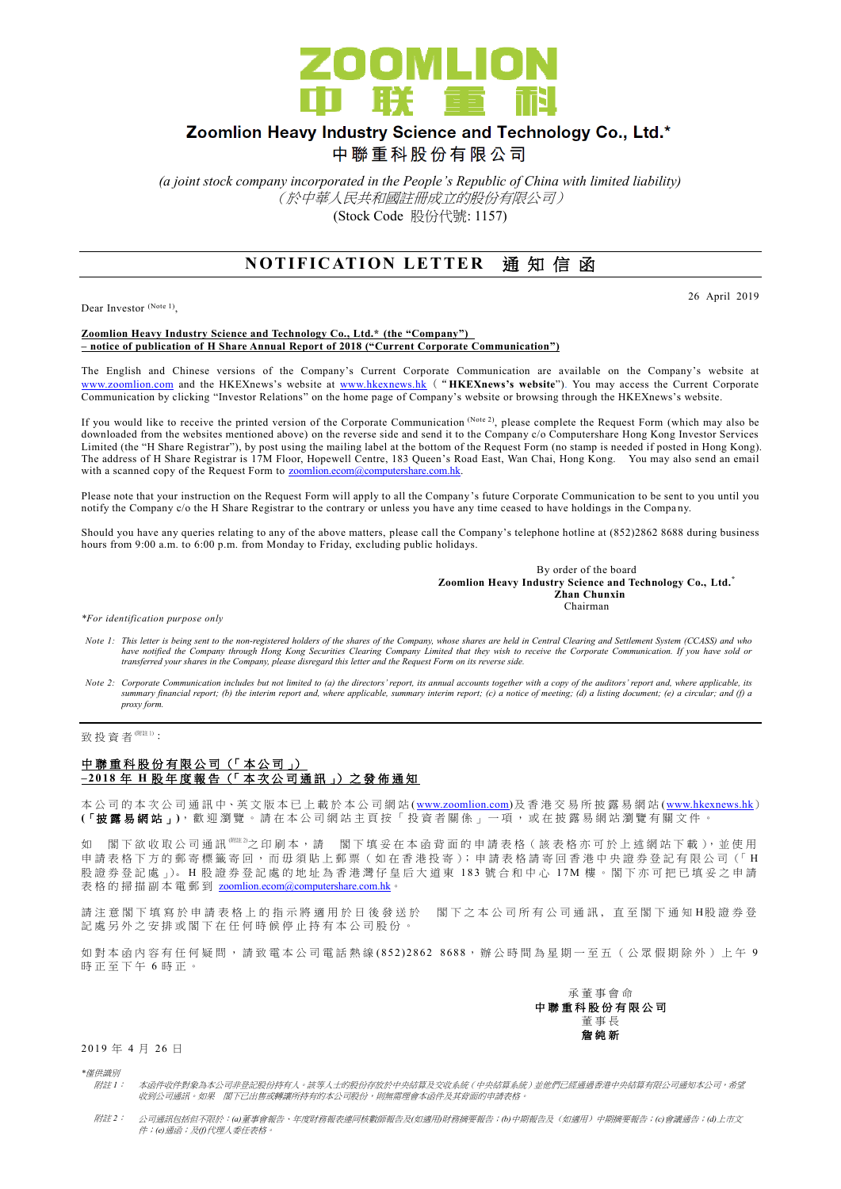

# Zoomlion Heavy Industry Science and Technology Co., Ltd.\* 中聯重科股份有限公司

*(a joint stock company incorporated in the People's Republic of China with limited liability)* (於中華人民共和國註冊成立的股份有限公司) (Stock Code 股份代號: 1157)

# **NOTIFICATION LETTER 通知信函**

Dear Investor (Note 1),

#### 26 April 2019

#### **Zoomlion Heavy Industry Science and Technology Co., Ltd.\* (the "Company") – notice of publication of H Share Annual Report of 2018 ("Current Corporate Communication")**

The English and Chinese versions of the Company's Current Corporate Communication are available on the Company's website at [www.zoomlion.com](http://www.zoomlion.com/) and the HKEXnews's website at [www.hkexnews.hk](http://www.hkexnews.hk/) ("**HKEXnews's website**"). You may access the Current Corporate Communication by clicking "Investor Relations" on the home page of Company's website or browsing through the HKEXnews's website.

If you would like to receive the printed version of the Corporate Communication (Note 2), please complete the Request Form (which may also be downloaded from the websites mentioned above) on the reverse side and send it to the Company c/o Computershare Hong Kong Investor Services Limited (the "H Share Registrar"), by post using the mailing label at the bottom of the Request Form (no stamp is needed if posted in Hong Kong). The address of H Share Registrar is 17M Floor, Hopewell Centre, 183 Queen's Road East, Wan Chai, Hong Kong. You may also send an email with a scanned copy of the Request Form to [zoomlion.ecom@computershare.com.hk.](mailto:zoomlion.ecom@computershare.com.hk)

Please note that your instruction on the Request Form will apply to all the Company's future Corporate Communication to be sent to you until you notify the Company c/o the H Share Registrar to the contrary or unless you have any time ceased to have holdings in the Compa ny.

Should you have any queries relating to any of the above matters, please call the Company's telephone hotline at (852)2862 8688 during business hours from 9:00 a.m. to 6:00 p.m. from Monday to Friday, excluding public holidays.

> By order of the board **Zoomlion Heavy Industry Science and Technology Co., Ltd.\* Zhan Chunxin** Chairman

*\*For identification purpose only*

- *Note 1: This letter is being sent to the non-registered holders of the shares of the Company, whose shares are held in Central Clearing and Settlement System (CCASS) and who*  have notified the Company through Hong Kong Securities Clearing Company Limited that they wish to receive the Corporate Communication. If you have sold or<br>transferred your shares in the Company, please disregard this lette
- *Note 2: Corporate Communication includes but not limited to (a) the directors' report, its annual accounts together with a copy of the auditors' report and, where applicable, its summary financial report; (b) the interim report and, where applicable, summary interim report; (c) a notice of meeting; (d) a listing document; (e) a circular; and (f) a proxy form.*

### 致 投 資 者 <sup>(附註 1)</sup>:

## 中聯重科股份有限公司 (「本公司」) **– 2018** 年 **H** 股 年 度 報 告 (「 本 次 公 司 通 訊 」) 之 發 佈 通 知

本公司的 本 次 公 司 通 訊 中、英 文 版 本 已 上 載於本 公 司 網 站 [\(www.zoomlion.com\)](http://www.zoomlion.com/)及香港交易所披露易網站 [\(www.hkexnews.hk](http://www.hkexnews.hk/)) **(**「披露易網站 」**)**,歡迎瀏覽。 請 在 本 公 司 網 站 主 頁 按 「 投 資 者 關 係 」 一 項 , 或 在 披 露 易 網 站 瀏 覽 有 關 文 件 。

如 閣下欲收取公司通訊<sup>《睢》</sup>之印刷本,請 閣下填妥在本函背面的申請表格(該表格亦可於上述網站下載),並使用 申請表格下方的郵寄標籤寄回,而毋須貼上郵票 (如在香港投寄); 申請表格請寄回香港中央證券登記有限公司 (「H 股證券登記處 心。H 股證券登記處的地址為香港灣仔皇后大道東 183號合和中心 17M 樓。閣下亦可把已填妥之申請 表格的掃描副本電郵到 [zoomlion.ecom@computershare.com.hk](mailto:zoomlion.ecom@computershare.com.hk)

請注 意 閣 下 填 寫 於 申 請 表 格 上 的 指 示 將 適 用 於 日 後 發 送 於 图 下 之 本 公 司 所 有 公 司 通 訊 , 直 至 閣 下 通 知 H股 證 券 登 記處另外之安排或閣下在任何時候停止持有本公司股份。

如對本函內容有任何疑問,請致電本公司電話熱線 (852) 2862 8688,辦公時間為星期一至五(公眾假期除外)上午 9 時正至下午 6 時正。



2019 年 4 月 26 日

*\**僅供識別

- 附註 *1*: 本函件收件對象為本公司非登記股份持有人。該等人士的股份存放於中央結算及交收系統(中央結算系統)並他們已經通過香港中央結算有限公司通知本公司,希望 收到公司通訊。如果 閣下已出售或轉讓所持有的本公司股份,則無需理會本函件及其背面的申請表格。
- 附註 *2*: 公司通訊包括但不限於:*(a)*董事會報告、年度財務報表連同核數師報告及*(*如適用*)*財務摘要報告;*(b)*中期報告及(如適用)中期摘要報告;*(c)*會議通告;*(d)*上市文 件;*(e)*通函;及*(f)*代理人委任表格。